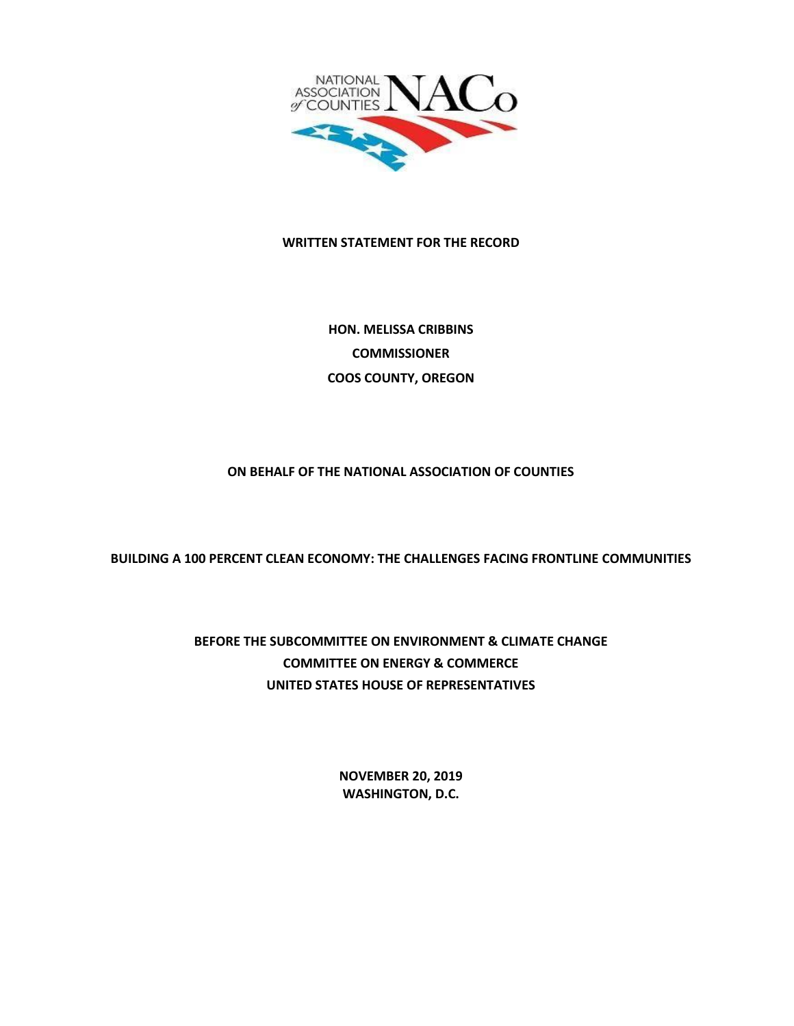

#### **WRITTEN STATEMENT FOR THE RECORD**

**HON. MELISSA CRIBBINS COMMISSIONER COOS COUNTY, OREGON**

#### **ON BEHALF OF THE NATIONAL ASSOCIATION OF COUNTIES**

**BUILDING A 100 PERCENT CLEAN ECONOMY: THE CHALLENGES FACING FRONTLINE COMMUNITIES**

# **BEFORE THE SUBCOMMITTEE ON ENVIRONMENT & CLIMATE CHANGE COMMITTEE ON ENERGY & COMMERCE UNITED STATES HOUSE OF REPRESENTATIVES**

**NOVEMBER 20, 2019 WASHINGTON, D.C.**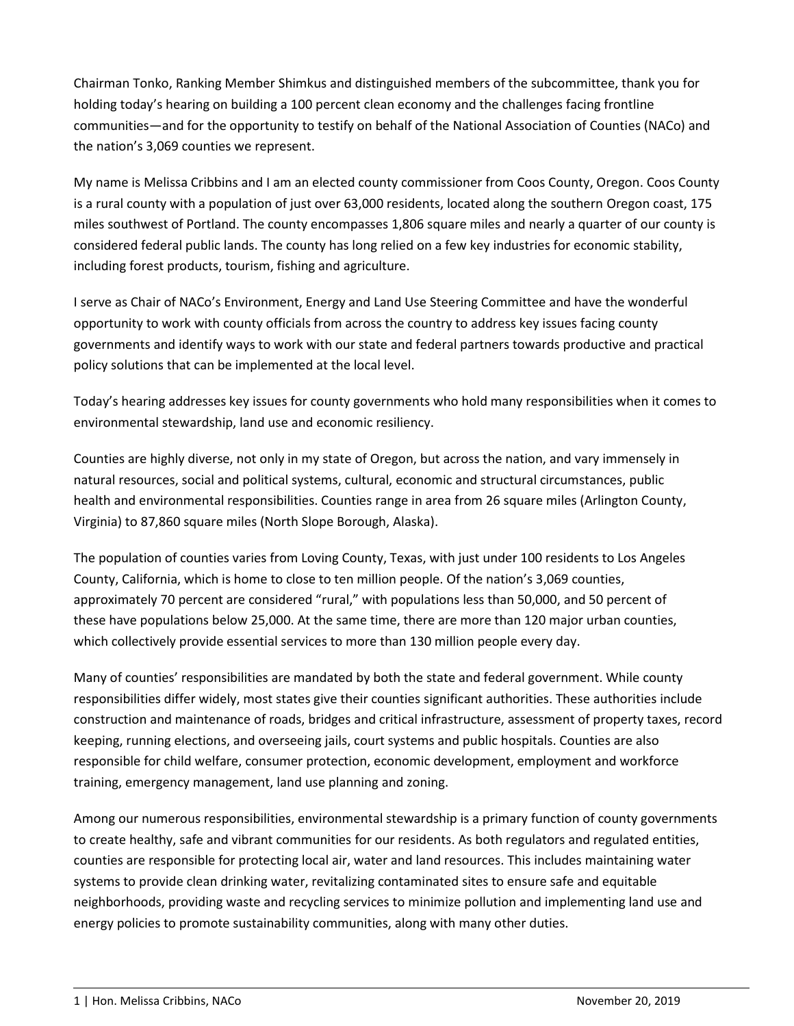Chairman Tonko, Ranking Member Shimkus and distinguished members of the subcommittee, thank you for holding today's hearing on building a 100 percent clean economy and the challenges facing frontline communities—and for the opportunity to testify on behalf of the National Association of Counties (NACo) and the nation's 3,069 counties we represent.

My name is Melissa Cribbins and I am an elected county commissioner from Coos County, Oregon. Coos County is a rural county with a population of just over 63,000 residents, located along the southern Oregon coast, 175 miles southwest of Portland. The county encompasses 1,806 square miles and nearly a quarter of our county is considered federal public lands. The county has long relied on a few key industries for economic stability, including forest products, tourism, fishing and agriculture.

I serve as Chair of NACo's Environment, Energy and Land Use Steering Committee and have the wonderful opportunity to work with county officials from across the country to address key issues facing county governments and identify ways to work with our state and federal partners towards productive and practical policy solutions that can be implemented at the local level.

Today's hearing addresses key issues for county governments who hold many responsibilities when it comes to environmental stewardship, land use and economic resiliency.

Counties are highly diverse, not only in my state of Oregon, but across the nation, and vary immensely in natural resources, social and political systems, cultural, economic and structural circumstances, public health and environmental responsibilities. Counties range in area from 26 square miles (Arlington County, Virginia) to 87,860 square miles (North Slope Borough, Alaska).

The population of counties varies from Loving County, Texas, with just under 100 residents to Los Angeles County, California, which is home to close to ten million people. Of the nation's 3,069 counties, approximately 70 percent are considered "rural," with populations less than 50,000, and 50 percent of these have populations below 25,000. At the same time, there are more than 120 major urban counties, which collectively provide essential services to more than 130 million people every day.

Many of counties' responsibilities are mandated by both the state and federal government. While county responsibilities differ widely, most states give their counties significant authorities. These authorities include construction and maintenance of roads, bridges and critical infrastructure, assessment of property taxes, record keeping, running elections, and overseeing jails, court systems and public hospitals. Counties are also responsible for child welfare, consumer protection, economic development, employment and workforce training, emergency management, land use planning and zoning.

Among our numerous responsibilities, environmental stewardship is a primary function of county governments to create healthy, safe and vibrant communities for our residents. As both regulators and regulated entities, counties are responsible for protecting local air, water and land resources. This includes maintaining water systems to provide clean drinking water, revitalizing contaminated sites to ensure safe and equitable neighborhoods, providing waste and recycling services to minimize pollution and implementing land use and energy policies to promote sustainability communities, along with many other duties.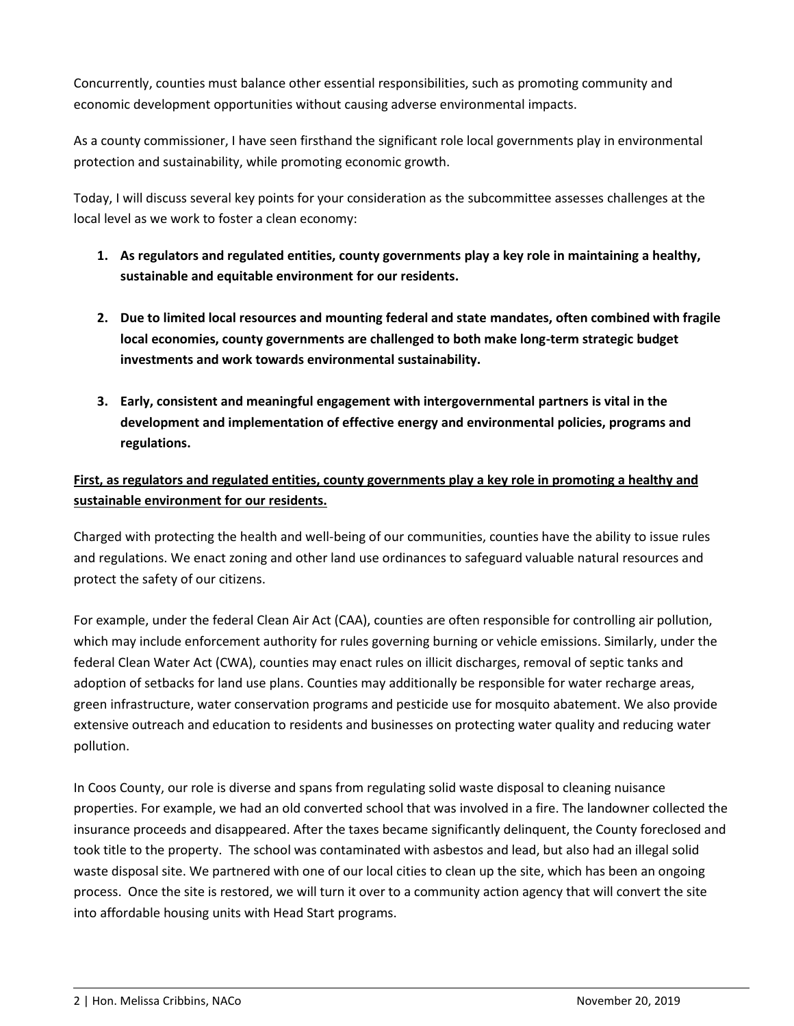Concurrently, counties must balance other essential responsibilities, such as promoting community and economic development opportunities without causing adverse environmental impacts.

As a county commissioner, I have seen firsthand the significant role local governments play in environmental protection and sustainability, while promoting economic growth.

Today, I will discuss several key points for your consideration as the subcommittee assesses challenges at the local level as we work to foster a clean economy:

- **1. As regulators and regulated entities, county governments play a key role in maintaining a healthy, sustainable and equitable environment for our residents.**
- **2. Due to limited local resources and mounting federal and state mandates, often combined with fragile local economies, county governments are challenged to both make long-term strategic budget investments and work towards environmental sustainability.**
- **3. Early, consistent and meaningful engagement with intergovernmental partners is vital in the development and implementation of effective energy and environmental policies, programs and regulations.**

## **First, as regulators and regulated entities, county governments play a key role in promoting a healthy and sustainable environment for our residents.**

Charged with protecting the health and well-being of our communities, counties have the ability to issue rules and regulations. We enact zoning and other land use ordinances to safeguard valuable natural resources and protect the safety of our citizens.

For example, under the federal Clean Air Act (CAA), counties are often responsible for controlling air pollution, which may include enforcement authority for rules governing burning or vehicle emissions. Similarly, under the federal Clean Water Act (CWA), counties may enact rules on illicit discharges, removal of septic tanks and adoption of setbacks for land use plans. Counties may additionally be responsible for water recharge areas, green infrastructure, water conservation programs and pesticide use for mosquito abatement. We also provide extensive outreach and education to residents and businesses on protecting water quality and reducing water pollution.

In Coos County, our role is diverse and spans from regulating solid waste disposal to cleaning nuisance properties. For example, we had an old converted school that was involved in a fire. The landowner collected the insurance proceeds and disappeared. After the taxes became significantly delinquent, the County foreclosed and took title to the property. The school was contaminated with asbestos and lead, but also had an illegal solid waste disposal site. We partnered with one of our local cities to clean up the site, which has been an ongoing process. Once the site is restored, we will turn it over to a community action agency that will convert the site into affordable housing units with Head Start programs.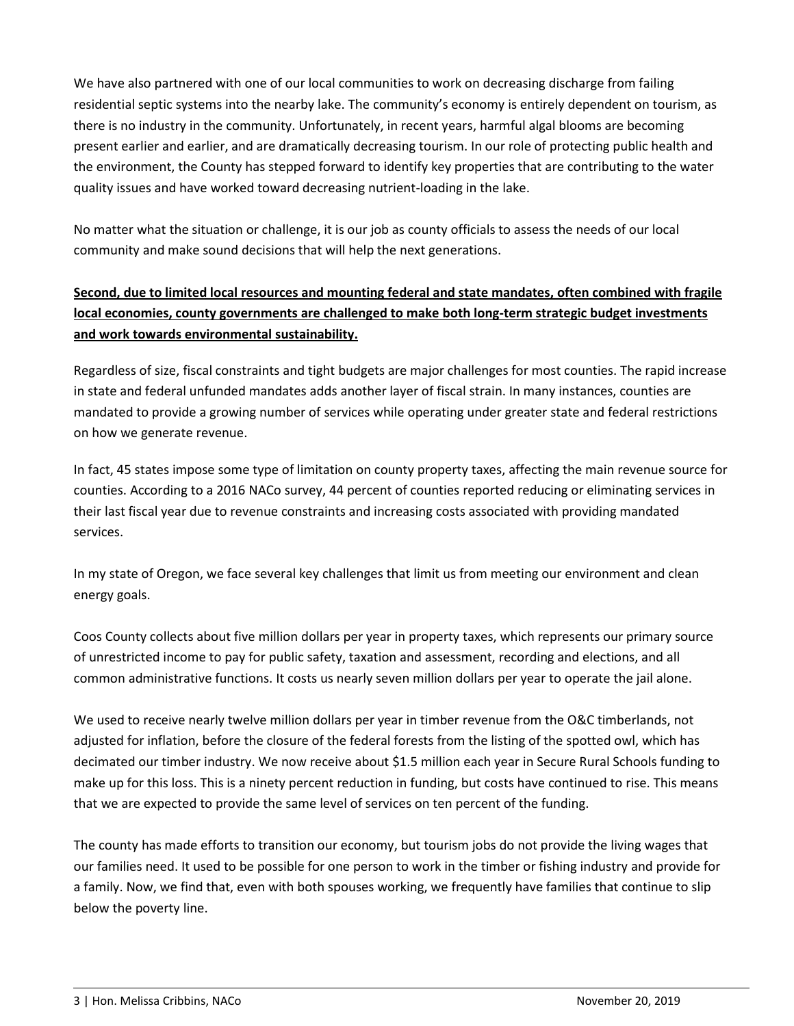We have also partnered with one of our local communities to work on decreasing discharge from failing residential septic systems into the nearby lake. The community's economy is entirely dependent on tourism, as there is no industry in the community. Unfortunately, in recent years, harmful algal blooms are becoming present earlier and earlier, and are dramatically decreasing tourism. In our role of protecting public health and the environment, the County has stepped forward to identify key properties that are contributing to the water quality issues and have worked toward decreasing nutrient-loading in the lake.

No matter what the situation or challenge, it is our job as county officials to assess the needs of our local community and make sound decisions that will help the next generations.

## **Second, due to limited local resources and mounting federal and state mandates, often combined with fragile local economies, county governments are challenged to make both long-term strategic budget investments and work towards environmental sustainability.**

Regardless of size, fiscal constraints and tight budgets are major challenges for most counties. The rapid increase in state and federal unfunded mandates adds another layer of fiscal strain. In many instances, counties are mandated to provide a growing number of services while operating under greater state and federal restrictions on how we generate revenue.

In fact, 45 states impose some type of limitation on county property taxes, affecting the main revenue source for counties. According to a 2016 NACo survey, 44 percent of counties reported reducing or eliminating services in their last fiscal year due to revenue constraints and increasing costs associated with providing mandated services.

In my state of Oregon, we face several key challenges that limit us from meeting our environment and clean energy goals.

Coos County collects about five million dollars per year in property taxes, which represents our primary source of unrestricted income to pay for public safety, taxation and assessment, recording and elections, and all common administrative functions. It costs us nearly seven million dollars per year to operate the jail alone.

We used to receive nearly twelve million dollars per year in timber revenue from the O&C timberlands, not adjusted for inflation, before the closure of the federal forests from the listing of the spotted owl, which has decimated our timber industry. We now receive about \$1.5 million each year in Secure Rural Schools funding to make up for this loss. This is a ninety percent reduction in funding, but costs have continued to rise. This means that we are expected to provide the same level of services on ten percent of the funding.

The county has made efforts to transition our economy, but tourism jobs do not provide the living wages that our families need. It used to be possible for one person to work in the timber or fishing industry and provide for a family. Now, we find that, even with both spouses working, we frequently have families that continue to slip below the poverty line.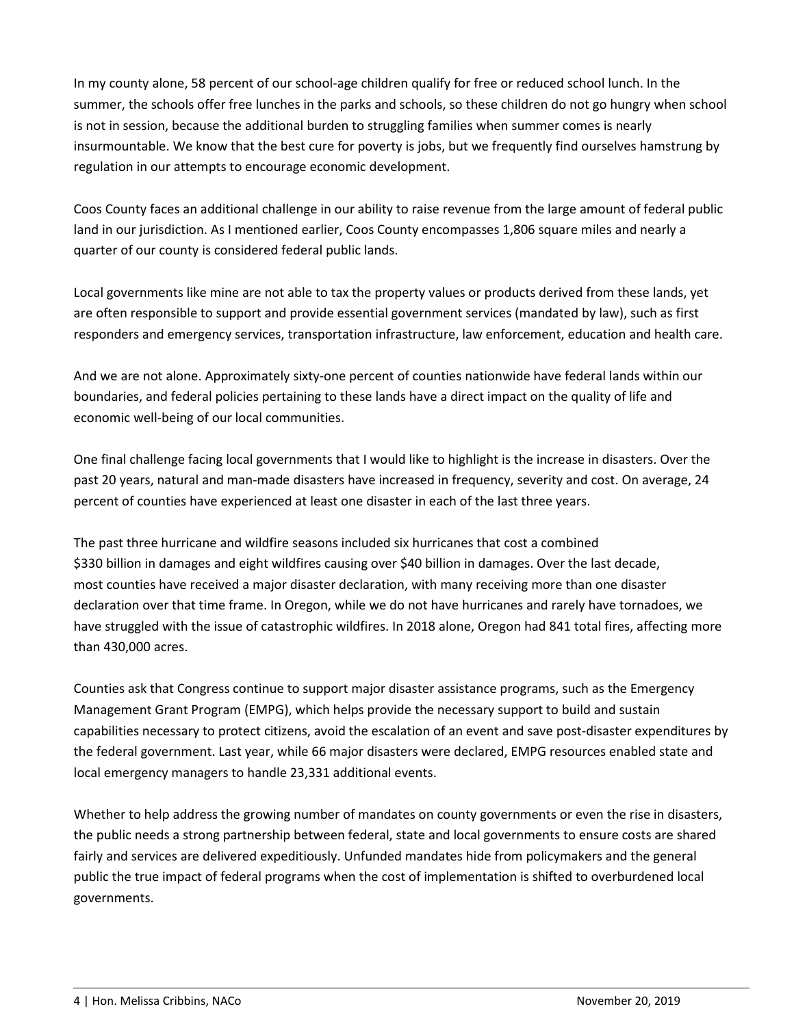In my county alone, 58 percent of our school-age children qualify for free or reduced school lunch. In the summer, the schools offer free lunches in the parks and schools, so these children do not go hungry when school is not in session, because the additional burden to struggling families when summer comes is nearly insurmountable. We know that the best cure for poverty is jobs, but we frequently find ourselves hamstrung by regulation in our attempts to encourage economic development.

Coos County faces an additional challenge in our ability to raise revenue from the large amount of federal public land in our jurisdiction. As I mentioned earlier, Coos County encompasses 1,806 square miles and nearly a quarter of our county is considered federal public lands.

Local governments like mine are not able to tax the property values or products derived from these lands, yet are often responsible to support and provide essential government services (mandated by law), such as first responders and emergency services, transportation infrastructure, law enforcement, education and health care.

And we are not alone. Approximately sixty-one percent of counties nationwide have federal lands within our boundaries, and federal policies pertaining to these lands have a direct impact on the quality of life and economic well-being of our local communities.

One final challenge facing local governments that I would like to highlight is the increase in disasters. Over the past 20 years, natural and man‐made disasters have increased in frequency, severity and cost. On average, 24 percent of counties have experienced at least one disaster in each of the last three years.

The past three hurricane and wildfire seasons included six hurricanes that cost a combined \$330 billion in damages and eight wildfires causing over \$40 billion in damages. Over the last decade, most counties have received a major disaster declaration, with many receiving more than one disaster declaration over that time frame. In Oregon, while we do not have hurricanes and rarely have tornadoes, we have struggled with the issue of catastrophic wildfires. In 2018 alone, Oregon had 841 total fires, affecting more than 430,000 acres.

Counties ask that Congress continue to support major disaster assistance programs, such as the Emergency Management Grant Program (EMPG), which helps provide the necessary support to build and sustain capabilities necessary to protect citizens, avoid the escalation of an event and save post-disaster expenditures by the federal government. Last year, while 66 major disasters were declared, EMPG resources enabled state and local emergency managers to handle 23,331 additional events.

Whether to help address the growing number of mandates on county governments or even the rise in disasters, the public needs a strong partnership between federal, state and local governments to ensure costs are shared fairly and services are delivered expeditiously. Unfunded mandates hide from policymakers and the general public the true impact of federal programs when the cost of implementation is shifted to overburdened local governments.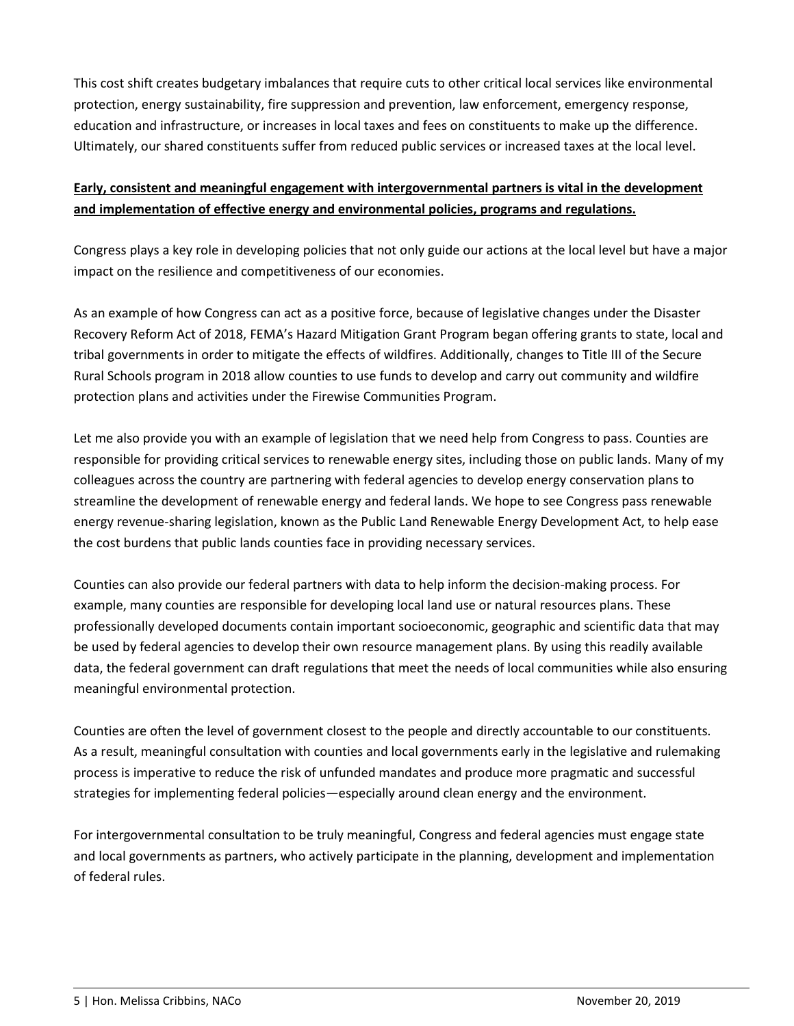This cost shift creates budgetary imbalances that require cuts to other critical local services like environmental protection, energy sustainability, fire suppression and prevention, law enforcement, emergency response, education and infrastructure, or increases in local taxes and fees on constituents to make up the difference. Ultimately, our shared constituents suffer from reduced public services or increased taxes at the local level.

### **Early, consistent and meaningful engagement with intergovernmental partners is vital in the development and implementation of effective energy and environmental policies, programs and regulations.**

Congress plays a key role in developing policies that not only guide our actions at the local level but have a major impact on the resilience and competitiveness of our economies.

As an example of how Congress can act as a positive force, because of legislative changes under the Disaster Recovery Reform Act of 2018, FEMA's Hazard Mitigation Grant Program began offering grants to state, local and tribal governments in order to mitigate the effects of wildfires. Additionally, changes to Title III of the Secure Rural Schools program in 2018 allow counties to use funds to develop and carry out community and wildfire protection plans and activities under the Firewise Communities Program.

Let me also provide you with an example of legislation that we need help from Congress to pass. Counties are responsible for providing critical services to renewable energy sites, including those on public lands. Many of my colleagues across the country are partnering with federal agencies to develop energy conservation plans to streamline the development of renewable energy and federal lands. We hope to see Congress pass renewable energy revenue-sharing legislation, known as the Public Land Renewable Energy Development Act, to help ease the cost burdens that public lands counties face in providing necessary services.

Counties can also provide our federal partners with data to help inform the decision-making process. For example, many counties are responsible for developing local land use or natural resources plans. These professionally developed documents contain important socioeconomic, geographic and scientific data that may be used by federal agencies to develop their own resource management plans. By using this readily available data, the federal government can draft regulations that meet the needs of local communities while also ensuring meaningful environmental protection.

Counties are often the level of government closest to the people and directly accountable to our constituents. As a result, meaningful consultation with counties and local governments early in the legislative and rulemaking process is imperative to reduce the risk of unfunded mandates and produce more pragmatic and successful strategies for implementing federal policies—especially around clean energy and the environment.

For intergovernmental consultation to be truly meaningful, Congress and federal agencies must engage state and local governments as partners, who actively participate in the planning, development and implementation of federal rules.